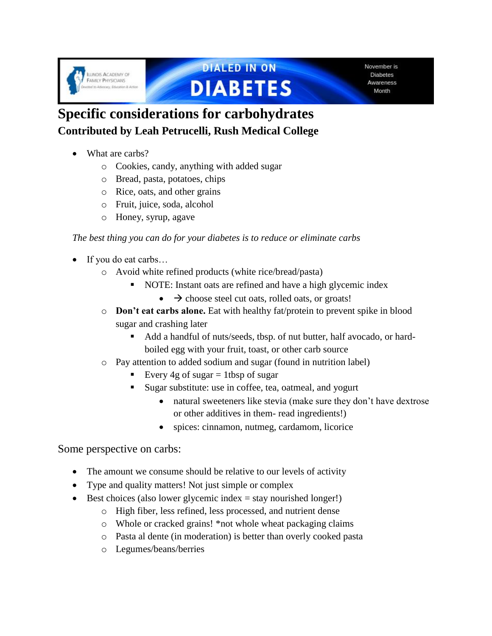

# **DIALED IN ON-DIABETES**

November is **Diabetes** Awareness Month

### **Specific considerations for carbohydrates Contributed by Leah Petrucelli, Rush Medical College**

- What are carbs?
	- o Cookies, candy, anything with added sugar
	- o Bread, pasta, potatoes, chips
	- o Rice, oats, and other grains
	- o Fruit, juice, soda, alcohol
	- o Honey, syrup, agave

#### *The best thing you can do for your diabetes is to reduce or eliminate carbs*

- If you do eat carbs...
	- o Avoid white refined products (white rice/bread/pasta)
		- NOTE: Instant oats are refined and have a high glycemic index
			- $\rightarrow$  choose steel cut oats, rolled oats, or groats!
	- o **Don't eat carbs alone.** Eat with healthy fat/protein to prevent spike in blood sugar and crashing later
		- Add a handful of nuts/seeds, tbsp. of nut butter, half avocado, or hardboiled egg with your fruit, toast, or other carb source
	- o Pay attention to added sodium and sugar (found in nutrition label)
		- Every 4g of sugar  $=$  1tbsp of sugar
		- Sugar substitute: use in coffee, tea, oatmeal, and yogurt
			- natural sweeteners like stevia (make sure they don't have dextrose or other additives in them- read ingredients!)
			- spices: cinnamon, nutmeg, cardamom, licorice

Some perspective on carbs:

- The amount we consume should be relative to our levels of activity
- Type and quality matters! Not just simple or complex
- Best choices (also lower glycemic index  $=$  stay nourished longer!)
	- o High fiber, less refined, less processed, and nutrient dense
	- o Whole or cracked grains! \*not whole wheat packaging claims
	- o Pasta al dente (in moderation) is better than overly cooked pasta
	- o Legumes/beans/berries